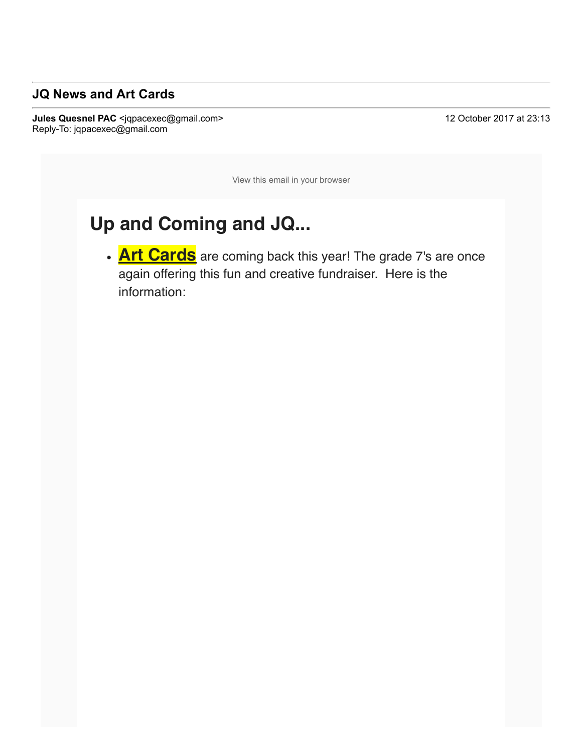## **JQ News and Art Cards**

**Jules Quesnel PAC** <jqpacexec@gmail.com> 12 October 2017 at 23:13 Reply-To: jqpacexec@gmail.com

View this email in your browser

## **Up and Coming and JQ...**

**Art Cards** are coming back this year! The grade 7's are once again offering this fun and creative fundraiser. Here is the information: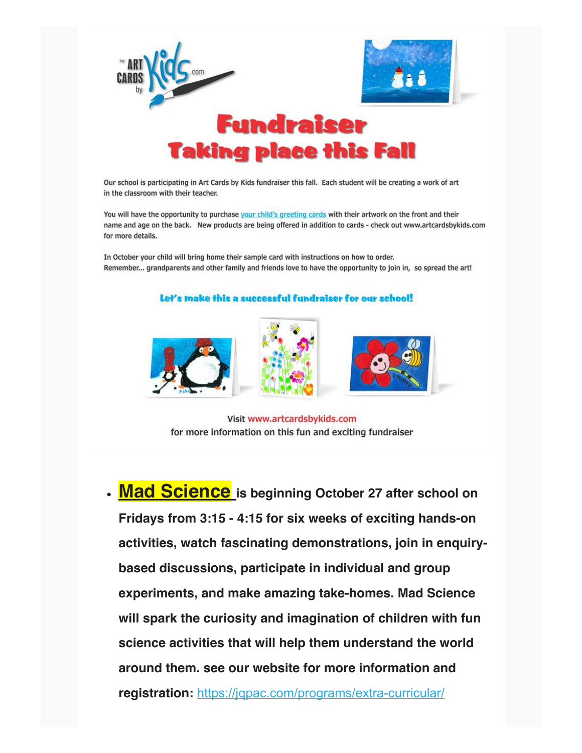

Our school is participating in Art Cards by Kids fundraiser this fall. Each student will be creating a work of art in the classroom with their teacher.

You will have the opportunity to purchase your child's greeting cards with their artwork on the front and their name and age on the back. New products are being offered in addition to cards - check out www.artcardsbykids.com for more details.

In October your child will bring home their sample card with instructions on how to order. Remember... grandparents and other family and friends love to have the opportunity to join in, so spread the art!

## Let's make this a successful fundraiser for our school!







Visit www.artcardsbykids.com for more information on this fun and exciting fundraiser

• Mad Science is beginning October 27 after school on Fridays from 3:15 - 4:15 for six weeks of exciting hands-on activities, watch fascinating demonstrations, join in enquirybased discussions, participate in individual and group experiments, and make amazing take-homes. Mad Science will spark the curiosity and imagination of children with fun science activities that will help them understand the world around them. see our website for more information and registration: https://jqpac.com/programs/extra-curricular/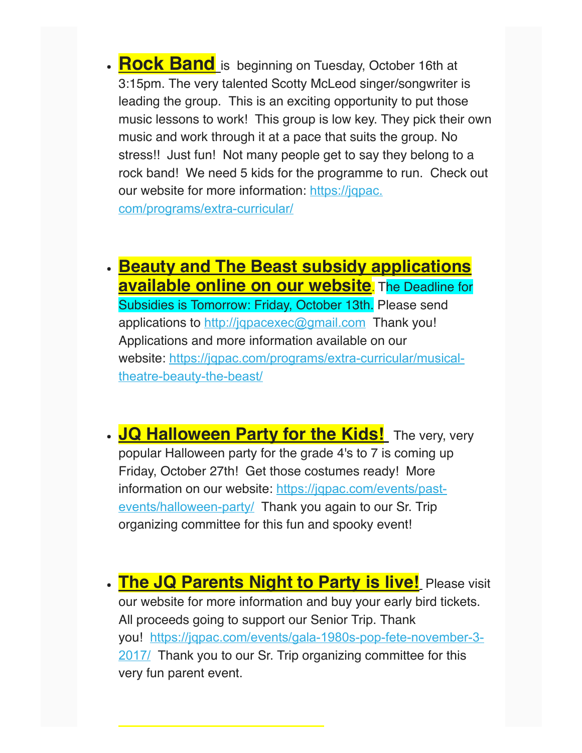**Rock Band** is beginning on Tuesday, October 16th at 3:15pm. The very talented Scotty McLeod singer/songwriter is leading the group. This is an exciting opportunity to put those music lessons to work! This group is low key. They pick their own music and work through it at a pace that suits the group. No stress!! Just fun! Not many people get to say they belong to a rock band! We need 5 kids for the programme to run. Check out our website for more information: https://jqpac. com/programs/extra-curricular/

**Beauty and The Beast subsidy applications available online on our website**. The Deadline for Subsidies is Tomorrow: Friday, October 13th. Please send applications to http://jqpacexec@gmail.com Thank you! Applications and more information available on our website: https://jqpac.com/programs/extra-curricular/musicaltheatre-beauty-the-beast/

**JQ Halloween Party for the Kids!** The very, very popular Halloween party for the grade 4's to 7 is coming up Friday, October 27th! Get those costumes ready! More information on our website: https://jqpac.com/events/pastevents/halloween-party/ Thank you again to our Sr. Trip organizing committee for this fun and spooky event!

**The JQ Parents Night to Party is live!** Please visit our website for more information and buy your early bird tickets. All proceeds going to support our Senior Trip. Thank you! https://jqpac.com/events/gala-1980s-pop-fete-november-3-2017/ Thank you to our Sr. Trip organizing committee for this very fun parent event.